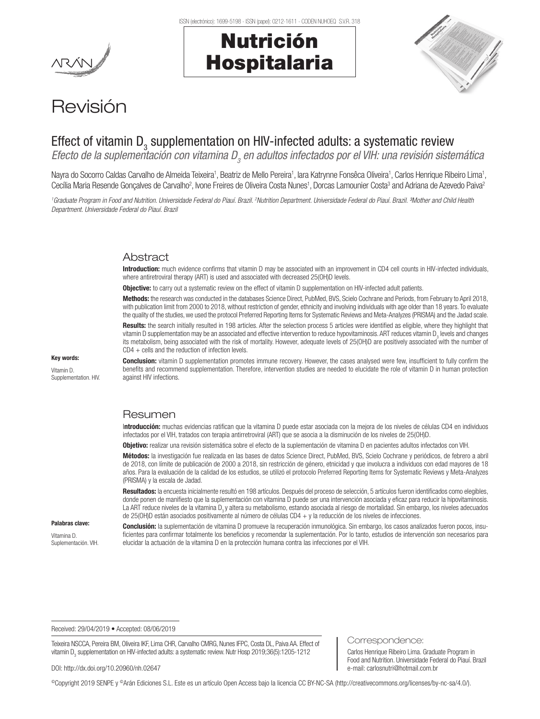# Nutrición Hospitalaria



# Revisión

## Effect of vitamin  $D_3$  supplementation on HIV-infected adults: a systematic review

Efecto de la suplementación con vitamina D<sub>3</sub> en adultos infectados por el VIH: una revisión sistemática

Nayra do Socorro Caldas Carvalho de Almeida Teixeira<sup>1</sup>, Beatriz de Mello Pereira<sup>1</sup>, lara Katrynne Fonsêca Oliveira<sup>1</sup>, Carlos Henrique Ribeiro Lima<sup>1</sup>, Cecília Maria Resende Gonçalves de Carvalho<sup>2</sup>, Ivone Freires de Oliveira Costa Nunes<sup>1</sup>, Dorcas Lamounier Costa<sup>3</sup> and Adriana de Azevedo Paiva<sup>2</sup>

<sup>1</sup> Graduate Program in Food and Nutrition. Universidade Federal do Piauí. Brazil. <sup>2</sup>Nutrition Department. Universidade Federal do Piauí. Brazil. 3Mother and Child Health *Department. Universidade Federal do Piauí. Brazil*

### **Abstract**

Introduction: much evidence confirms that vitamin D may be associated with an improvement in CD4 cell counts in HIV-infected individuals, where antiretroviral therapy (ART) is used and associated with decreased 25(OH)D levels.

**Objective:** to carry out a systematic review on the effect of vitamin D supplementation on HIV-infected adult patients.

Methods: the research was conducted in the databases Science Direct, PubMed, BVS, Scielo Cochrane and Periods, from February to April 2018, with publication limit from 2000 to 2018, without restriction of gender, ethnicity and involving individuals with age older than 18 years. To evaluate the quality of the studies, we used the protocol Preferred Reporting Items for Systematic Reviews and Meta-Analyzes (PRISMA) and the Jadad scale.

Results: the search initially resulted in 198 articles. After the selection process 5 articles were identified as eligible, where they highlight that vitamin D supplementation may be an associated and effective intervention to reduce hypovitaminosis. ART reduces vitamin D<sub>3</sub> levels and changes its metabolism, being associated with the risk of mortality. However, adequate levels of 25(OH)D are positively associated with the number of  $CD4 + cells$  and the reduction of infection levels.

Key words: Vitamin D. Supplementation. HIV.

Conclusion: vitamin D supplementation promotes immune recovery. However, the cases analysed were few, insufficient to fully confirm the benefits and recommend supplementation. Therefore, intervention studies are needed to elucidate the role of vitamin D in human protection against HIV infections.

### Resumen

Introducción: muchas evidencias ratifican que la vitamina D puede estar asociada con la mejora de los niveles de células CD4 en individuos infectados por el VIH, tratados con terapia antirretroviral (ART) que se asocia a la disminución de los niveles de 25(OH)D.

Objetivo: realizar una revisión sistemática sobre el efecto de la suplementación de vitamina D en pacientes adultos infectados con VIH.

Métodos: la investigación fue realizada en las bases de datos Science Direct, PubMed, BVS, Scielo Cochrane y periódicos, de febrero a abril de 2018, con límite de publicación de 2000 a 2018, sin restricción de género, etnicidad y que involucra a individuos con edad mayores de 18 años. Para la evaluación de la calidad de los estudios, se utilizó el protocolo Preferred Reporting Items for Systematic Reviews y Meta-Analyzes (PRISMA) y la escala de Jadad.

Resultados: la encuesta inicialmente resultó en 198 artículos. Después del proceso de selección, 5 artículos fueron identificados como elegibles, donde ponen de manifiesto que la suplementación con vitamina D puede ser una intervención asociada y eficaz para reducir la hipovitaminosis. La ART reduce niveles de la vitamina  $D_y$  altera su metabolismo, estando asociada al riesgo de mortalidad. Sin embargo, los niveles adecuados de 25(OH)D están asociados positivamente al número de células CD4 + y la reducción de los niveles de infecciones.

#### Palabras clave:

Vitamina D. Suplementación. VIH. Conclusión: la suplementación de vitamina D promueve la recuperación inmunológica. Sin embargo, los casos analizados fueron pocos, insuficientes para confirmar totalmente los beneficios y recomendar la suplementación. Por lo tanto, estudios de intervención son necesarios para elucidar la actuación de la vitamina D en la protección humana contra las infecciones por el VIH.

Received: 29/04/2019 • Accepted: 08/06/2019

Teixeira NSCCA, Pereira BM, Oliveira IKF, Lima CHR, Carvalho CMRG, Nunes IFPC, Costa DL, Paiva AA. Effect of vitamin D<sub>3</sub> supplementation on HIV-infected adults: a systematic review. Nutr Hosp 2019;36(5):1205-1212

#### DOI: http://dx.doi.org/10.20960/nh.02647

Carlos Henrique Ribeiro Lima. Graduate Program in Food and Nutrition. Universidade Federal do Piauí. Brazil e-mail: carlosnutri@hotmail.com.br

Correspondence:

©Copyright 2019 SENPE y ©Arán Ediciones S.L. Este es un artículo Open Access bajo la licencia CC BY-NC-SA (http://creativecommons.org/licenses/by-nc-sa/4.0/).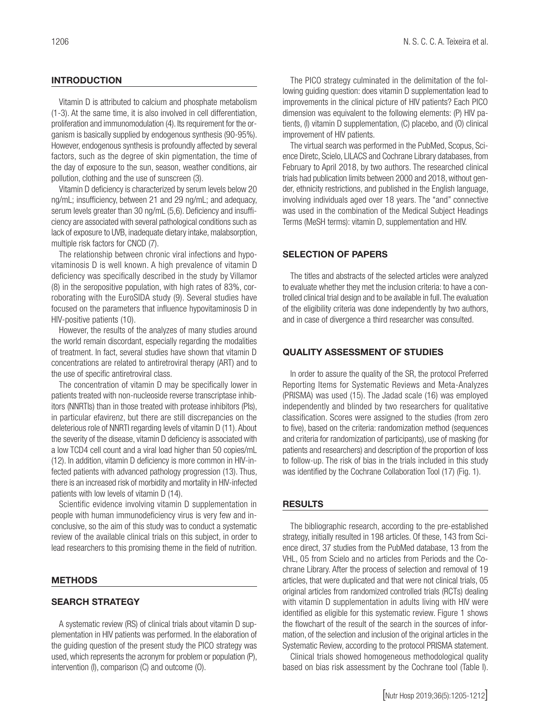#### **INTRODUCTION**

Vitamin D is attributed to calcium and phosphate metabolism (1-3). At the same time, it is also involved in cell differentiation, proliferation and immunomodulation (4). Its requirement for the organism is basically supplied by endogenous synthesis (90-95%). However, endogenous synthesis is profoundly affected by several factors, such as the degree of skin pigmentation, the time of the day of exposure to the sun, season, weather conditions, air pollution, clothing and the use of sunscreen (3).

Vitamin D deficiency is characterized by serum levels below 20 ng/mL; insufficiency, between 21 and 29 ng/mL; and adequacy, serum levels greater than 30 ng/mL (5,6). Deficiency and insufficiency are associated with several pathological conditions such as lack of exposure to UVB, inadequate dietary intake, malabsorption, multiple risk factors for CNCD (7).

The relationship between chronic viral infections and hypovitaminosis D is well known. A high prevalence of vitamin D deficiency was specifically described in the study by Villamor (8) in the seropositive population, with high rates of 83%, corroborating with the EuroSIDA study (9). Several studies have focused on the parameters that influence hypovitaminosis D in HIV-positive patients (10).

However, the results of the analyzes of many studies around the world remain discordant, especially regarding the modalities of treatment. In fact, several studies have shown that vitamin D concentrations are related to antiretroviral therapy (ART) and to the use of specific antiretroviral class.

The concentration of vitamin D may be specifically lower in patients treated with non-nucleoside reverse transcriptase inhibitors (NNRTIs) than in those treated with protease inhibitors (PIs), in particular efavirenz, but there are still discrepancies on the deleterious role of NNRTI regarding levels of vitamin D (11). About the severity of the disease, vitamin D deficiency is associated with a low TCD4 cell count and a viral load higher than 50 copies/mL (12). In addition, vitamin D deficiency is more common in HIV-infected patients with advanced pathology progression (13). Thus, there is an increased risk of morbidity and mortality in HIV-infected patients with low levels of vitamin D (14).

Scientific evidence involving vitamin D supplementation in people with human immunodeficiency virus is very few and inconclusive, so the aim of this study was to conduct a systematic review of the available clinical trials on this subject, in order to lead researchers to this promising theme in the field of nutrition.

#### METHODS

#### SEARCH STRATEGY

A systematic review (RS) of clinical trials about vitamin D supplementation in HIV patients was performed. In the elaboration of the guiding question of the present study the PICO strategy was used, which represents the acronym for problem or population (P), intervention (I), comparison (C) and outcome (O).

The PICO strategy culminated in the delimitation of the following guiding question: does vitamin D supplementation lead to improvements in the clinical picture of HIV patients? Each PICO dimension was equivalent to the following elements: (P) HIV patients, (I) vitamin D supplementation, (C) placebo, and (O) clinical improvement of HIV patients.

The virtual search was performed in the PubMed, Scopus, Science Diretc, Scielo, LILACS and Cochrane Library databases, from February to April 2018, by two authors. The researched clinical trials had publication limits between 2000 and 2018, without gender, ethnicity restrictions, and published in the English language, involving individuals aged over 18 years. The "and" connective was used in the combination of the Medical Subject Headings Terms (MeSH terms): vitamin D, supplementation and HIV.

#### SELECTION OF PAPERS

The titles and abstracts of the selected articles were analyzed to evaluate whether they met the inclusion criteria: to have a controlled clinical trial design and to be available in full. The evaluation of the eligibility criteria was done independently by two authors, and in case of divergence a third researcher was consulted.

#### QUALITY ASSESSMENT OF STUDIES

In order to assure the quality of the SR, the protocol Preferred Reporting Items for Systematic Reviews and Meta-Analyzes (PRISMA) was used (15). The Jadad scale (16) was employed independently and blinded by two researchers for qualitative classification. Scores were assigned to the studies (from zero to five), based on the criteria: randomization method (sequences and criteria for randomization of participants), use of masking (for patients and researchers) and description of the proportion of loss to follow-up. The risk of bias in the trials included in this study was identified by the Cochrane Collaboration Tool (17) (Fig. 1).

#### RESULTS

The bibliographic research, according to the pre-established strategy, initially resulted in 198 articles. Of these, 143 from Science direct, 37 studies from the PubMed database, 13 from the VHL, 05 from Scielo and no articles from Periods and the Cochrane Library. After the process of selection and removal of 19 articles, that were duplicated and that were not clinical trials, 05 original articles from randomized controlled trials (RCTs) dealing with vitamin D supplementation in adults living with HIV were identified as eligible for this systematic review. Figure 1 shows the flowchart of the result of the search in the sources of information, of the selection and inclusion of the original articles in the Systematic Review, according to the protocol PRISMA statement.

Clinical trials showed homogeneous methodological quality based on bias risk assessment by the Cochrane tool (Table I).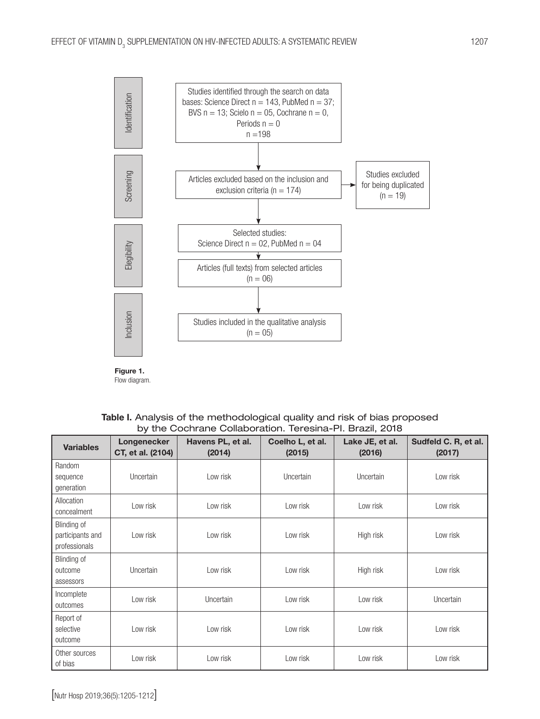

Figure 1. Flow diagram.

| Table I. Analysis of the methodological quality and risk of bias proposed |
|---------------------------------------------------------------------------|
| by the Cochrane Collaboration. Teresina-PI. Brazil, 2018                  |

| <b>Variables</b>                                 | Longenecker<br>CT, et al. (2104) | Havens PL, et al.<br>(2014) | Coelho L, et al.<br>(2015) | Lake JE, et al.<br>(2016) | Sudfeld C. R, et al.<br>(2017) |
|--------------------------------------------------|----------------------------------|-----------------------------|----------------------------|---------------------------|--------------------------------|
| Random<br>sequence<br>generation                 | Uncertain                        | Low risk                    | Uncertain                  | Uncertain                 | Low risk                       |
| Allocation<br>concealment                        | Low risk                         | Low risk                    | Low risk                   | Low risk                  | Low risk                       |
| Blinding of<br>participants and<br>professionals | Low risk                         | Low risk                    | Low risk                   | High risk                 | Low risk                       |
| Blinding of<br>outcome<br>assessors              | Uncertain                        | Low risk                    | Low risk                   | High risk                 | Low risk                       |
| Incomplete<br>outcomes                           | Low risk                         | Uncertain                   | Low risk                   | Low risk                  | Uncertain                      |
| Report of<br>selective<br>outcome                | Low risk                         | Low risk                    | Low risk                   | Low risk                  | Low risk                       |
| Other sources<br>of bias                         | Low risk                         | Low risk                    | Low risk                   | Low risk                  | Low risk                       |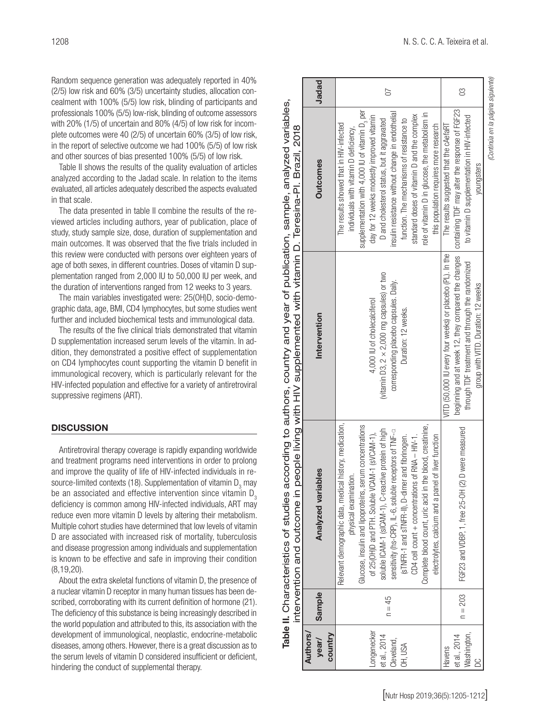Random sequence generation was adequately reported in 40% (2/5) low risk and 60% (3/5) uncertainty studies, allocation concealment with 100% (5/5) low risk, blinding of participants and professionals 100% (5/5) low-risk, blinding of outcome assessors with 20% (1/5) of uncertain and 80% (4/5) of low risk for incomplete outcomes were 40 (2/5) of uncertain 60% (3/5) of low risk, in the report of selective outcome we had 100% (5/5) of low risk and other sources of bias presented 100% (5/5) of low risk.

Table II shows the results of the quality evaluation of articles analyzed according to the Jadad scale. In relation to the items evaluated, all articles adequately described the aspects evaluated in that scale.

The data presented in table II combine the results of the reviewed articles including authors, year of publication, place of study, study sample size, dose, duration of supplementation and main outcomes. It was observed that the five trials included in this review were conducted with persons over eighteen years of age of both sexes, in different countries. Doses of vitamin D supplementation ranged from 2,000 IU to 50,000 IU per week, and the duration of interventions ranged from 12 weeks to 3 years.

The main variables investigated were: 25(OH)D, socio-demographic data, age, BMI, CD4 lymphocytes, but some studies went further and included biochemical tests and immunological data.

The results of the five clinical trials demonstrated that vitamin D supplementation increased serum levels of the vitamin. In addition, they demonstrated a positive effect of supplementation on CD4 lymphocytes count supporting the vitamin D benefit in immunological recovery, which is particularly relevant for the HIV-infected population and effective for a variety of antiretroviral suppressive regimens (ART).

#### **DISCUSSION**

Antiretroviral therapy coverage is rapidly expanding worldwide and treatment programs need interventions in order to prolong and improve the quality of life of HIV-infected individuals in resource-limited contexts (18). Supplementation of vitamin  $\mathsf{D}_{_{\!3}}$  may be an associated and effective intervention since vitamin D<sub>3</sub> deficiency is common among HIV-infected individuals, ART may reduce even more vitamin D levels by altering their metabolism. Multiple cohort studies have determined that low levels of vitamin D are associated with increased risk of mortality, tuberculosis and disease progression among individuals and supplementation is known to be effective and safe in improving their condition (8,19,20).

About the extra skeletal functions of vitamin D, the presence of a nuclear vitamin D receptor in many human tissues has been described, corroborating with its current definition of hormone (21). The deficiency of this substance is being increasingly described in the world population and attributed to this, its association with the development of immunological, neoplastic, endocrine-metabolic diseases, among others. However, there is a great discussion as to the serum levels of vitamin D considered insufficient or deficient, hindering the conduct of supplemental therapy.

|                 |           |                                                           | Table II. Characteristics of studies according to authors, country and year of publication, sample, analyzed variables,<br>intervention and outcome in people living with HIV supplemented with vitamin D. Teresina-PI. Brazil, 2018 |                                                             |       |
|-----------------|-----------|-----------------------------------------------------------|--------------------------------------------------------------------------------------------------------------------------------------------------------------------------------------------------------------------------------------|-------------------------------------------------------------|-------|
| <b>Authors/</b> |           |                                                           |                                                                                                                                                                                                                                      |                                                             |       |
| year/           | Sample    | es<br>Analyzed variab                                     | Intervention                                                                                                                                                                                                                         | <b>Outcomes</b>                                             | Jadad |
| country         |           |                                                           |                                                                                                                                                                                                                                      |                                                             |       |
|                 |           | Relevant demographic data, medical history, medication,   |                                                                                                                                                                                                                                      | The results showed that in HIV-infected                     |       |
|                 |           | physical examination.                                     |                                                                                                                                                                                                                                      | individuals with vitamin D deficiency,                      |       |
|                 |           | Glucose, insulin and lipoproteins, serum concentrations   |                                                                                                                                                                                                                                      | supplementation with 4,000 IU of vitamin D <sub>3</sub> per |       |
| -ongenecker     |           | of 25(OH)D and PTH. Soluble VCAM-1 (sVCAM-1),             | 4,000 IU of cholecalciferol                                                                                                                                                                                                          | day for 12 weeks modestly improved vitamin                  |       |
| et al., 2014    |           | soluble ICAM-1 (sICAM-1), C-reactive protein of high      | (vitamin D3, $2 \times 2,000$ mg capsules) or two                                                                                                                                                                                    | D and cholesterol status, but it aggravated                 | 50    |
| Cleveland,      | $n = 45$  | sensitivity (hs-CRP), IL-6, soluble receptors of TNF-a    | corresponding placebo capsules. Daily.                                                                                                                                                                                               | insulin resistance without change in endothelial            |       |
| OH, USA         |           | and fibrinogen.<br>(STNFR-1 and sTNFR-II), D-dimer        | Duration: 12 weeks.                                                                                                                                                                                                                  | function. The mechanisms of resistance to                   |       |
|                 |           | of RNA $-$ HIV-1.<br>CD4 cell count + concentrations      |                                                                                                                                                                                                                                      | standard doses of vitamin D and the complex                 |       |
|                 |           | Complete blood count, uric acid in the blood, creatinine, |                                                                                                                                                                                                                                      | role of vitamin D in glucose, the metabolism in             |       |
|                 |           | of liver function<br>electrolytes, calcium and a panel    |                                                                                                                                                                                                                                      | this population requires more research                      |       |
| Havens          |           |                                                           | VITD (50,000 IU every four weeks) or placebo (PL). In the                                                                                                                                                                            | The results suggested that the cAefaRT                      |       |
| et al., 2014    | $n = 203$ | FGF23 and VDBP, 1, free 25-0H (2)                         | beginning and at week 12, they compared the changes   containing TDF may alter the response of FGF23                                                                                                                                 |                                                             | g     |
| Washington,     |           | D were measured                                           | through TDF treatment and through the randomized                                                                                                                                                                                     | to vitamin D supplementation in HIV-infected                |       |
| ă               |           |                                                           | group with VITD. Duration: 12 weeks                                                                                                                                                                                                  | youngsters                                                  |       |
|                 |           |                                                           |                                                                                                                                                                                                                                      | (Continúa en la página siguiente)                           |       |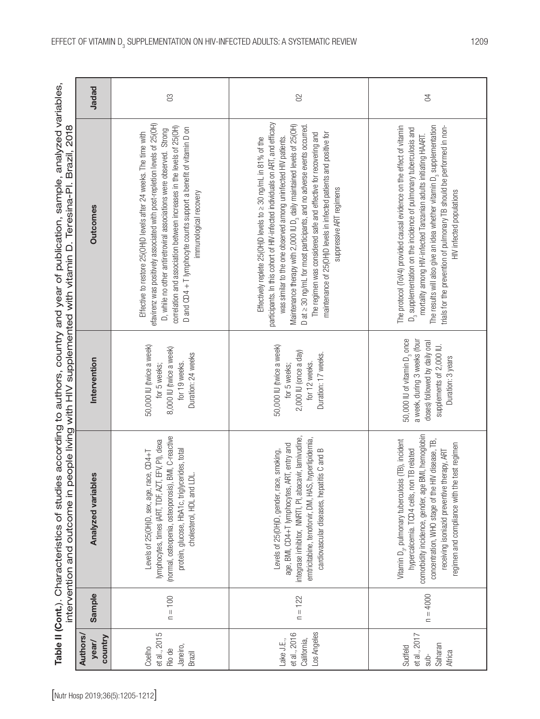|                                                                                                           | Jadad                              | $\infty$                                                                                                                                                                                                                                                                                                                                                                                     | $\infty$                                                                                                                                                                                                                                                                                                                                                                                                                                                                                                                                                           | $\beta$                                                                                                                                                                                                                                                                                                                                                                                                            |
|-----------------------------------------------------------------------------------------------------------|------------------------------------|----------------------------------------------------------------------------------------------------------------------------------------------------------------------------------------------------------------------------------------------------------------------------------------------------------------------------------------------------------------------------------------------|--------------------------------------------------------------------------------------------------------------------------------------------------------------------------------------------------------------------------------------------------------------------------------------------------------------------------------------------------------------------------------------------------------------------------------------------------------------------------------------------------------------------------------------------------------------------|--------------------------------------------------------------------------------------------------------------------------------------------------------------------------------------------------------------------------------------------------------------------------------------------------------------------------------------------------------------------------------------------------------------------|
| intervention and outcome in people living with HIV supplemented with vitamin D. Teresina-PI. Brazil, 2018 | <b>Outcomes</b>                    | efavirenz was positively associated with post-repletion levels of 25(0H)<br>correlation and association between increases in the levels of 25(OH)<br>D and CD4 + T lymphocyte counts support a benefit of vitamin D on<br>D, while no other antiretroviral associations were observed. Strong<br>Effective to restore 25(OH)D levels after 24 weeks. The time with<br>immunological recovery | participants. In this cohort of HIV-infected individuals on ART, and efficacy<br>Maintenance therapy with 2,000 IU D <sub>3</sub> daily maintained levels of 25(OH)<br>D at $\geq$ 30 ng/mL for most participants, and no adverse events occurred.<br>maintenance of 25(OH)D levels in infected patients and positive for<br>The regimen was considered safe and effective for recovering and<br>was similar to the one observed among uninfected HIV patients.<br>Effectively replete 25(OH)D levels to $\geq$ 30 ng/mL in 81% of the<br>suppressive ART regimens | The protocol (ToV4) provided causal evidence on the effect of vitamin<br>The results will also give an idea whether vitamin D <sub>3</sub> supplementation<br>trials for the prevention of pulmonary TB should be performed in non-<br>$\mathbb{D}_3$ supplementation on the incidence of pulmonary tuberculosis and<br>mortality among HIV-infected Tanzanian adults initiating HAART<br>HIV infected populations |
|                                                                                                           | Intervention                       | 50,000 IU (twice a week)<br>8,000 IU (twice a week)<br>Duration: 24 weeks<br>for 19 weeks.<br>for 5 weeks;                                                                                                                                                                                                                                                                                   | 50,000 IU (twice a week)<br>2,000 IU (once a day)<br>Duration: 17 weeks.<br>for 12 weeks.<br>for 5 weeks;                                                                                                                                                                                                                                                                                                                                                                                                                                                          | 50,000 IU of vitamin D <sub>3</sub> once<br>a week, during 3 weeks (four<br>doses) followed by daily oral<br>supplements of 2,000 IU.<br>Duration: 3 years                                                                                                                                                                                                                                                         |
|                                                                                                           | es<br>Analyzed variabl             | BMI, C-reactive<br>lymphocytes, times (ART, TDF, AZT, EFV, PI), dexa<br>protein, glucose, HbA1c, triglycerides, total<br>Levels of 25(OH)D, sex, age, race, CD4+T<br>cholesterol, HDL and LDL.<br>(normal, osteopenia, osteoporosis),                                                                                                                                                        | integrase inhibitor, NNRTI, PI, abacavir, lamivudine,<br>emtricitabine, tenoforvir, DM, HAS, hyperlipidemia,<br>age, BMI, CD4+T lymphocytes, ART, entry and<br>cardiovascular diseases, hepatitis C and B<br>Levels of 25(OH)D, gender, race, smoking,                                                                                                                                                                                                                                                                                                             | comorbidity incidence, gender, age BMI, hemoglobin<br>Vitamin D <sub>3</sub> , pulmonary tuberculosis (TB), incident<br>concentration, WHO stage of the HIV disease, TB,<br>regimen and compliance with the test regimen<br>hypercalcemia. TCD4 cells, non TB related<br>receiving isoniazid preventive therapy, ART                                                                                               |
|                                                                                                           | Sample                             | $n = 100$                                                                                                                                                                                                                                                                                                                                                                                    | $n = 122$                                                                                                                                                                                                                                                                                                                                                                                                                                                                                                                                                          | $n = 4000$                                                                                                                                                                                                                                                                                                                                                                                                         |
|                                                                                                           | <b>Authors</b><br>country<br>year/ | et al., 2015<br>Janeiro,<br>Coelho<br>Rio de<br>Brazil                                                                                                                                                                                                                                                                                                                                       | Los Angeles<br>et al., 2016<br>California,<br>Lake J.E.,                                                                                                                                                                                                                                                                                                                                                                                                                                                                                                           | et al., 2017<br>Saharan<br>Sudfeld<br>Africa<br>$sub-$                                                                                                                                                                                                                                                                                                                                                             |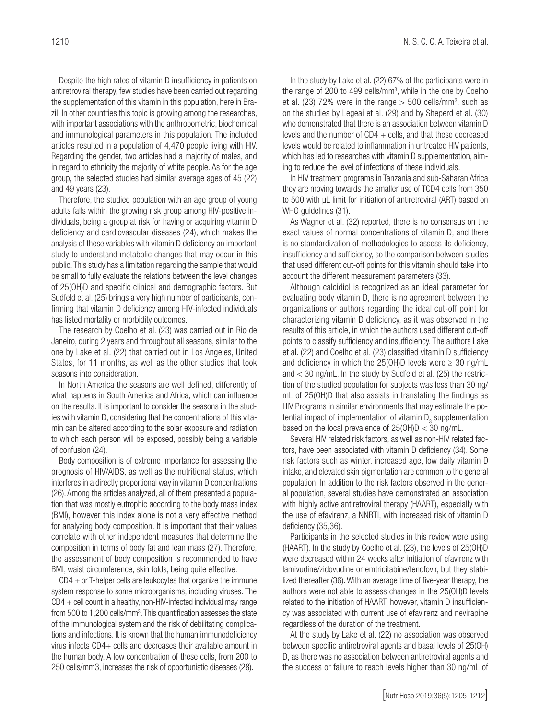Despite the high rates of vitamin D insufficiency in patients on antiretroviral therapy, few studies have been carried out regarding the supplementation of this vitamin in this population, here in Brazil. In other countries this topic is growing among the researches, with important associations with the anthropometric, biochemical and immunological parameters in this population. The included articles resulted in a population of 4,470 people living with HIV. Regarding the gender, two articles had a majority of males, and in regard to ethnicity the majority of white people. As for the age group, the selected studies had similar average ages of 45 (22) and 49 years (23).

Therefore, the studied population with an age group of young adults falls within the growing risk group among HIV-positive individuals, being a group at risk for having or acquiring vitamin D deficiency and cardiovascular diseases (24), which makes the analysis of these variables with vitamin D deficiency an important study to understand metabolic changes that may occur in this public. This study has a limitation regarding the sample that would be small to fully evaluate the relations between the level changes of 25(OH)D and specific clinical and demographic factors. But Sudfeld et al. (25) brings a very high number of participants, confirming that vitamin D deficiency among HIV-infected individuals has listed mortality or morbidity outcomes.

The research by Coelho et al. (23) was carried out in Rio de Janeiro, during 2 years and throughout all seasons, similar to the one by Lake et al. (22) that carried out in Los Angeles, United States, for 11 months, as well as the other studies that took seasons into consideration.

In North America the seasons are well defined, differently of what happens in South America and Africa, which can influence on the results. It is important to consider the seasons in the studies with vitamin D, considering that the concentrations of this vitamin can be altered according to the solar exposure and radiation to which each person will be exposed, possibly being a variable of confusion (24).

Body composition is of extreme importance for assessing the prognosis of HIV/AIDS, as well as the nutritional status, which interferes in a directly proportional way in vitamin D concentrations (26). Among the articles analyzed, all of them presented a population that was mostly eutrophic according to the body mass index (BMI), however this index alone is not a very effective method for analyzing body composition. It is important that their values correlate with other independent measures that determine the composition in terms of body fat and lean mass (27). Therefore, the assessment of body composition is recommended to have BMI, waist circumference, skin folds, being quite effective.

CD4 + or T-helper cells are leukocytes that organize the immune system response to some microorganisms, including viruses. The  $CD4 +$  cell count in a healthy, non-HIV-infected individual may range from 500 to 1,200 cells/mm<sup>3</sup>. This quantification assesses the state of the immunological system and the risk of debilitating complications and infections. It is known that the human immunodeficiency virus infects CD4+ cells and decreases their available amount in the human body. A low concentration of these cells, from 200 to 250 cells/mm3, increases the risk of opportunistic diseases (28).

In the study by Lake et al. (22) 67% of the participants were in the range of 200 to 499 cells/mm<sup>3</sup>, while in the one by Coelho et al. (23) 72% were in the range  $>$  500 cells/mm<sup>3</sup>, such as on the studies by Legeai et al. (29) and by Sheperd et al. (30) who demonstrated that there is an association between vitamin D levels and the number of  $CD4 +$  cells, and that these decreased levels would be related to inflammation in untreated HIV patients, which has led to researches with vitamin D supplementation, aiming to reduce the level of infections of these individuals.

In HIV treatment programs in Tanzania and sub-Saharan Africa they are moving towards the smaller use of TCD4 cells from 350 to 500 with μL limit for initiation of antiretroviral (ART) based on WHO quidelines (31).

As Wagner et al. (32) reported, there is no consensus on the exact values of normal concentrations of vitamin D, and there is no standardization of methodologies to assess its deficiency, insufficiency and sufficiency, so the comparison between studies that used different cut-off points for this vitamin should take into account the different measurement parameters (33).

Although calcidiol is recognized as an ideal parameter for evaluating body vitamin D, there is no agreement between the organizations or authors regarding the ideal cut-off point for characterizing vitamin D deficiency, as it was observed in the results of this article, in which the authors used different cut-off points to classify sufficiency and insufficiency. The authors Lake et al. (22) and Coelho et al. (23) classified vitamin D sufficiency and deficiency in which the 25(OH)D levels were  $\geq$  30 ng/mL and < 30 ng/mL. In the study by Sudfeld et al. (25) the restriction of the studied population for subjects was less than 30 ng/ mL of 25(OH)D that also assists in translating the findings as HIV Programs in similar environments that may estimate the potential impact of implementation of vitamin  $\mathsf{D}_{_{\!3}}$  supplementation based on the local prevalence of  $25(OH)D < 30$  ng/mL.

Several HIV related risk factors, as well as non-HIV related factors, have been associated with vitamin D deficiency (34). Some risk factors such as winter, increased age, low daily vitamin D intake, and elevated skin pigmentation are common to the general population. In addition to the risk factors observed in the general population, several studies have demonstrated an association with highly active antiretroviral therapy (HAART), especially with the use of efavirenz, a NNRTI, with increased risk of vitamin D deficiency (35,36).

Participants in the selected studies in this review were using (HAART). In the study by Coelho et al. (23), the levels of 25(OH)D were decreased within 24 weeks after initiation of efavirenz with lamivudine/zidovudine or emtricitabine/tenofovir, but they stabilized thereafter (36). With an average time of five-year therapy, the authors were not able to assess changes in the 25(OH)D levels related to the initiation of HAART, however, vitamin D insufficiency was associated with current use of efavirenz and nevirapine regardless of the duration of the treatment.

At the study by Lake et al. (22) no association was observed between specific antiretroviral agents and basal levels of 25(OH) D, as there was no association between antiretroviral agents and the success or failure to reach levels higher than 30 ng/mL of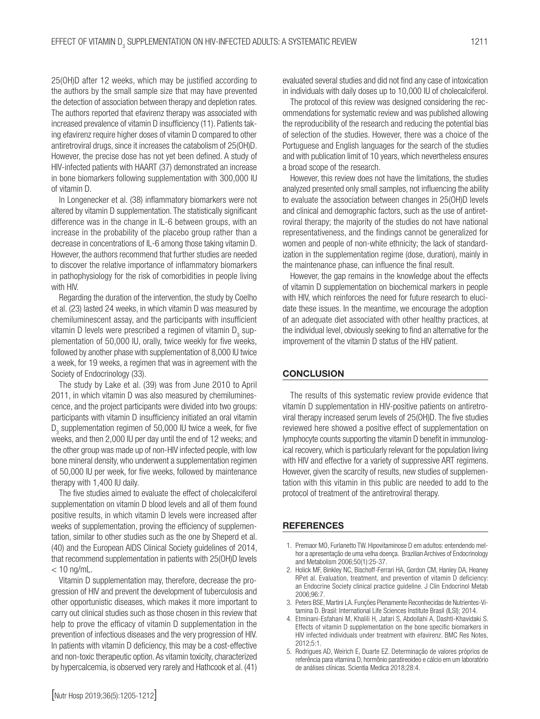25(OH)D after 12 weeks, which may be justified according to the authors by the small sample size that may have prevented the detection of association between therapy and depletion rates. The authors reported that efavirenz therapy was associated with increased prevalence of vitamin D insufficiency (11). Patients taking efavirenz require higher doses of vitamin D compared to other antiretroviral drugs, since it increases the catabolism of 25(OH)D. However, the precise dose has not yet been defined. A study of HIV-infected patients with HAART (37) demonstrated an increase in bone biomarkers following supplementation with 300,000 IU of vitamin D.

In Longenecker et al. (38) inflammatory biomarkers were not altered by vitamin D supplementation. The statistically significant difference was in the change in IL-6 between groups, with an increase in the probability of the placebo group rather than a decrease in concentrations of IL-6 among those taking vitamin D. However, the authors recommend that further studies are needed to discover the relative importance of inflammatory biomarkers in pathophysiology for the risk of comorbidities in people living with HIV.

Regarding the duration of the intervention, the study by Coelho et al. (23) lasted 24 weeks, in which vitamin D was measured by chemiluminescent assay, and the participants with insufficient vitamin D levels were prescribed a regimen of vitamin  $\mathsf{D}_{_{\!3}}$  supplementation of 50,000 IU, orally, twice weekly for five weeks, followed by another phase with supplementation of 8,000 IU twice a week, for 19 weeks, a regimen that was in agreement with the Society of Endocrinology (33).

The study by Lake et al. (39) was from June 2010 to April 2011, in which vitamin D was also measured by chemiluminescence, and the project participants were divided into two groups: participants with vitamin D insufficiency initiated an oral vitamin  $D_3$  supplementation regimen of 50,000 IU twice a week, for five weeks, and then 2,000 IU per day until the end of 12 weeks; and the other group was made up of non-HIV infected people, with low bone mineral density, who underwent a supplementation regimen of 50,000 IU per week, for five weeks, followed by maintenance therapy with 1,400 IU daily.

The five studies aimed to evaluate the effect of cholecalciferol supplementation on vitamin D blood levels and all of them found positive results, in which vitamin D levels were increased after weeks of supplementation, proving the efficiency of supplementation, similar to other studies such as the one by Sheperd et al. (40) and the European AIDS Clinical Society guidelines of 2014, that recommend supplementation in patients with 25(OH)D levels  $<$  10 ng/mL.

Vitamin D supplementation may, therefore, decrease the progression of HIV and prevent the development of tuberculosis and other opportunistic diseases, which makes it more important to carry out clinical studies such as those chosen in this review that help to prove the efficacy of vitamin D supplementation in the prevention of infectious diseases and the very progression of HIV. In patients with vitamin D deficiency, this may be a cost-effective and non-toxic therapeutic option. As vitamin toxicity, characterized by hypercalcemia, is observed very rarely and Hathcook et al. (41)

evaluated several studies and did not find any case of intoxication in individuals with daily doses up to 10,000 IU of cholecalciferol.

The protocol of this review was designed considering the recommendations for systematic review and was published allowing the reproducibility of the research and reducing the potential bias of selection of the studies. However, there was a choice of the Portuguese and English languages for the search of the studies and with publication limit of 10 years, which nevertheless ensures a broad scope of the research.

However, this review does not have the limitations, the studies analyzed presented only small samples, not influencing the ability to evaluate the association between changes in 25(OH)D levels and clinical and demographic factors, such as the use of antiretroviral therapy; the majority of the studies do not have national representativeness, and the findings cannot be generalized for women and people of non-white ethnicity; the lack of standardization in the supplementation regime (dose, duration), mainly in the maintenance phase, can influence the final result.

However, the gap remains in the knowledge about the effects of vitamin D supplementation on biochemical markers in people with HIV, which reinforces the need for future research to elucidate these issues. In the meantime, we encourage the adoption of an adequate diet associated with other healthy practices, at the individual level, obviously seeking to find an alternative for the improvement of the vitamin D status of the HIV patient.

#### **CONCLUSION**

The results of this systematic review provide evidence that vitamin D supplementation in HIV-positive patients on antiretroviral therapy increased serum levels of 25(OH)D. The five studies reviewed here showed a positive effect of supplementation on lymphocyte counts supporting the vitamin D benefit in immunological recovery, which is particularly relevant for the population living with HIV and effective for a variety of suppressive ART regimens. However, given the scarcity of results, new studies of supplementation with this vitamin in this public are needed to add to the protocol of treatment of the antiretroviral therapy.

#### **REFERENCES**

- 1. Premaor MO, Furlanetto TW. Hipovitaminose D em adultos: entendendo melhor a apresentação de uma velha doença. Brazilian Archives of Endocrinology and Metabolism 2006;50(1):25-37.
- 2. Holick MF, Binkley NC, Bischoff-Ferrari HA, Gordon CM, Hanley DA, Heaney RPet al. Evaluation, treatment, and prevention of vitamin D deficiency: an Endocrine Society clinical practice guideline. J Clin Endocrinol Metab 2006;96:7.
- 3. Peters BSE, Martini LA. Funções Plenamente Reconhecidas de Nutrientes-Vitamina D. Brasil: International Life Sciences Institute Brasil (ILSI); 2014.
- 4. Etminani-Esfahani M, Khalili H, Jafari S, Abdollahi A, Dashti-Khavidaki S. Effects of vitamin D supplementation on the bone specific biomarkers in HIV infected individuals under treatment with efavirenz. BMC Res Notes, 2012;5:1.
- 5. Rodrigues AD, Weirich E, Duarte EZ. Determinação de valores próprios de referência para vitamina D, hormônio paratireoideo e cálcio em um laboratório de análises clínicas. Scientia Medica 2018;28:4.